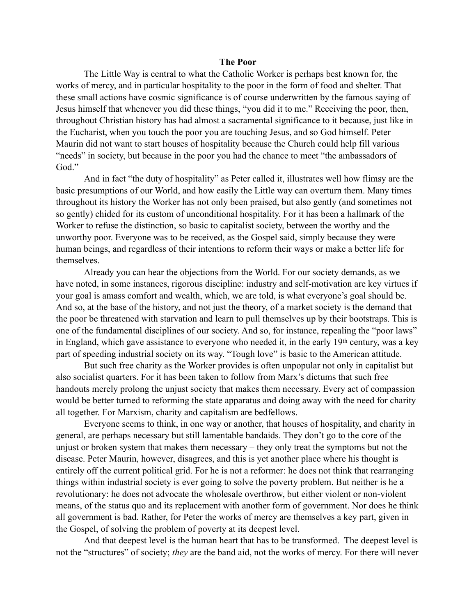## **The Poor**

The Little Way is central to what the Catholic Worker is perhaps best known for, the works of mercy, and in particular hospitality to the poor in the form of food and shelter. That these small actions have cosmic significance is of course underwritten by the famous saying of Jesus himself that whenever you did these things, "you did it to me." Receiving the poor, then, throughout Christian history has had almost a sacramental significance to it because, just like in the Eucharist, when you touch the poor you are touching Jesus, and so God himself. Peter Maurin did not want to start houses of hospitality because the Church could help fill various "needs" in society, but because in the poor you had the chance to meet "the ambassadors of God."

And in fact "the duty of hospitality" as Peter called it, illustrates well how flimsy are the basic presumptions of our World, and how easily the Little way can overturn them. Many times throughout its history the Worker has not only been praised, but also gently (and sometimes not so gently) chided for its custom of unconditional hospitality. For it has been a hallmark of the Worker to refuse the distinction, so basic to capitalist society, between the worthy and the unworthy poor. Everyone was to be received, as the Gospel said, simply because they were human beings, and regardless of their intentions to reform their ways or make a better life for themselves.

Already you can hear the objections from the World. For our society demands, as we have noted, in some instances, rigorous discipline: industry and self-motivation are key virtues if your goal is amass comfort and wealth, which, we are told, is what everyone's goal should be. And so, at the base of the history, and not just the theory, of a market society is the demand that the poor be threatened with starvation and learn to pull themselves up by their bootstraps. This is one of the fundamental disciplines of our society. And so, for instance, repealing the "poor laws" in England, which gave assistance to everyone who needed it, in the early 19th century, was a key part of speeding industrial society on its way. "Tough love" is basic to the American attitude.

But such free charity as the Worker provides is often unpopular not only in capitalist but also socialist quarters. For it has been taken to follow from Marx's dictums that such free handouts merely prolong the unjust society that makes them necessary. Every act of compassion would be better turned to reforming the state apparatus and doing away with the need for charity all together. For Marxism, charity and capitalism are bedfellows.

Everyone seems to think, in one way or another, that houses of hospitality, and charity in general, are perhaps necessary but still lamentable bandaids. They don't go to the core of the unjust or broken system that makes them necessary – they only treat the symptoms but not the disease. Peter Maurin, however, disagrees, and this is yet another place where his thought is entirely off the current political grid. For he is not a reformer: he does not think that rearranging things within industrial society is ever going to solve the poverty problem. But neither is he a revolutionary: he does not advocate the wholesale overthrow, but either violent or non-violent means, of the status quo and its replacement with another form of government. Nor does he think all government is bad. Rather, for Peter the works of mercy are themselves a key part, given in the Gospel, of solving the problem of poverty at its deepest level.

And that deepest level is the human heart that has to be transformed. The deepest level is not the "structures" of society; *they* are the band aid, not the works of mercy. For there will never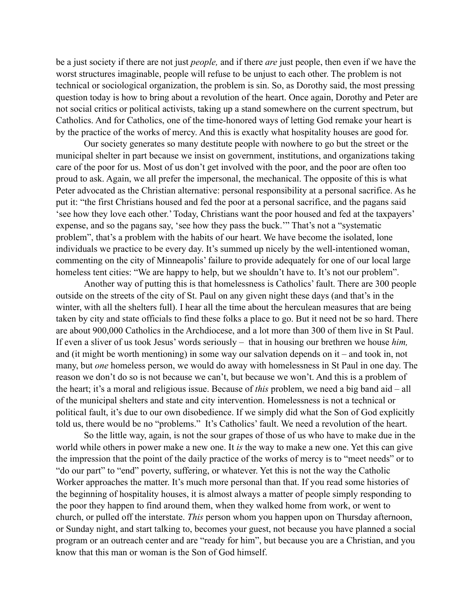be a just society if there are not just *people,* and if there *are* just people, then even if we have the worst structures imaginable, people will refuse to be unjust to each other. The problem is not technical or sociological organization, the problem is sin. So, as Dorothy said, the most pressing question today is how to bring about a revolution of the heart. Once again, Dorothy and Peter are not social critics or political activists, taking up a stand somewhere on the current spectrum, but Catholics. And for Catholics, one of the time-honored ways of letting God remake your heart is by the practice of the works of mercy. And this is exactly what hospitality houses are good for.

Our society generates so many destitute people with nowhere to go but the street or the municipal shelter in part because we insist on government, institutions, and organizations taking care of the poor for us. Most of us don't get involved with the poor, and the poor are often too proud to ask. Again, we all prefer the impersonal, the mechanical. The opposite of this is what Peter advocated as the Christian alternative: personal responsibility at a personal sacrifice. As he put it: "the first Christians housed and fed the poor at a personal sacrifice, and the pagans said 'see how they love each other.' Today, Christians want the poor housed and fed at the taxpayers' expense, and so the pagans say, 'see how they pass the buck.'" That's not a "systematic problem", that's a problem with the habits of our heart. We have become the isolated, lone individuals we practice to be every day. It's summed up nicely by the well-intentioned woman, commenting on the city of Minneapolis' failure to provide adequately for one of our local large homeless tent cities: "We are happy to help, but we shouldn't have to. It's not our problem".

Another way of putting this is that homelessness is Catholics' fault. There are 300 people outside on the streets of the city of St. Paul on any given night these days (and that's in the winter, with all the shelters full). I hear all the time about the herculean measures that are being taken by city and state officials to find these folks a place to go. But it need not be so hard. There are about 900,000 Catholics in the Archdiocese, and a lot more than 300 of them live in St Paul. If even a sliver of us took Jesus' words seriously – that in housing our brethren we house *him,*  and (it might be worth mentioning) in some way our salvation depends on it – and took in, not many, but *one* homeless person, we would do away with homelessness in St Paul in one day. The reason we don't do so is not because we can't, but because we won't. And this is a problem of the heart; it's a moral and religious issue. Because of *this* problem, we need a big band aid – all of the municipal shelters and state and city intervention. Homelessness is not a technical or political fault, it's due to our own disobedience. If we simply did what the Son of God explicitly told us, there would be no "problems." It's Catholics' fault. We need a revolution of the heart.

So the little way, again, is not the sour grapes of those of us who have to make due in the world while others in power make a new one. It *is* the way to make a new one. Yet this can give the impression that the point of the daily practice of the works of mercy is to "meet needs" or to "do our part" to "end" poverty, suffering, or whatever. Yet this is not the way the Catholic Worker approaches the matter. It's much more personal than that. If you read some histories of the beginning of hospitality houses, it is almost always a matter of people simply responding to the poor they happen to find around them, when they walked home from work, or went to church, or pulled off the interstate. *This* person whom you happen upon on Thursday afternoon, or Sunday night, and start talking to, becomes your guest, not because you have planned a social program or an outreach center and are "ready for him", but because you are a Christian, and you know that this man or woman is the Son of God himself.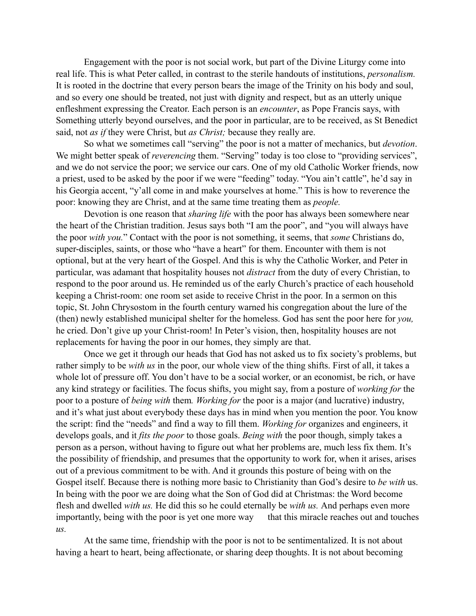Engagement with the poor is not social work, but part of the Divine Liturgy come into real life. This is what Peter called, in contrast to the sterile handouts of institutions, *personalism.*  It is rooted in the doctrine that every person bears the image of the Trinity on his body and soul, and so every one should be treated, not just with dignity and respect, but as an utterly unique enfleshment expressing the Creator. Each person is an *encounter*, as Pope Francis says, with Something utterly beyond ourselves, and the poor in particular, are to be received, as St Benedict said, not *as if* they were Christ, but *as Christ;* because they really are.

So what we sometimes call "serving" the poor is not a matter of mechanics, but *devotion*. We might better speak of *reverencing* them. "Serving" today is too close to "providing services", and we do not service the poor; we service our cars. One of my old Catholic Worker friends, now a priest, used to be asked by the poor if we were "feeding" today. "You ain't cattle", he'd say in his Georgia accent, "y'all come in and make yourselves at home." This is how to reverence the poor: knowing they are Christ, and at the same time treating them as *people.* 

Devotion is one reason that *sharing life* with the poor has always been somewhere near the heart of the Christian tradition. Jesus says both "I am the poor", and "you will always have the poor *with you.*" Contact with the poor is not something, it seems, that *some* Christians do, super-disciples, saints, or those who "have a heart" for them. Encounter with them is not optional, but at the very heart of the Gospel. And this is why the Catholic Worker, and Peter in particular, was adamant that hospitality houses not *distract* from the duty of every Christian, to respond to the poor around us. He reminded us of the early Church's practice of each household keeping a Christ-room: one room set aside to receive Christ in the poor. In a sermon on this topic, St. John Chrysostom in the fourth century warned his congregation about the lure of the (then) newly established municipal shelter for the homeless. God has sent the poor here for *you,*  he cried. Don't give up your Christ-room! In Peter's vision, then, hospitality houses are not replacements for having the poor in our homes, they simply are that.

Once we get it through our heads that God has not asked us to fix society's problems, but rather simply to be *with us* in the poor, our whole view of the thing shifts. First of all, it takes a whole lot of pressure off. You don't have to be a social worker, or an economist, be rich, or have any kind strategy or facilities. The focus shifts, you might say, from a posture of *working for* the poor to a posture of *being with* them*. Working for* the poor is a major (and lucrative) industry, and it's what just about everybody these days has in mind when you mention the poor. You know the script: find the "needs" and find a way to fill them. *Working for* organizes and engineers, it develops goals, and it *fits the poor* to those goals. *Being with* the poor though, simply takes a person as a person, without having to figure out what her problems are, much less fix them. It's the possibility of friendship, and presumes that the opportunity to work for, when it arises, arises out of a previous commitment to be with. And it grounds this posture of being with on the Gospel itself. Because there is nothing more basic to Christianity than God's desire to *be with* us. In being with the poor we are doing what the Son of God did at Christmas: the Word become flesh and dwelled *with us.* He did this so he could eternally be *with us.* And perhaps even more importantly, being with the poor is yet one more way that this miracle reaches out and touches *us.* 

At the same time, friendship with the poor is not to be sentimentalized. It is not about having a heart to heart, being affectionate, or sharing deep thoughts. It is not about becoming